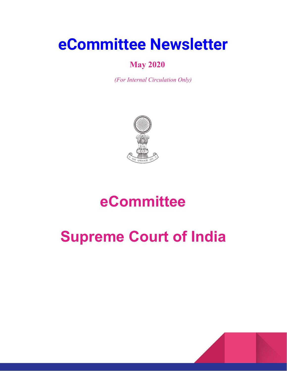# **eCommittee Newsletter**

## **May 2020**

*(For Internal Circulation Only)*



# **eCommittee**

# **Supreme Court of India**

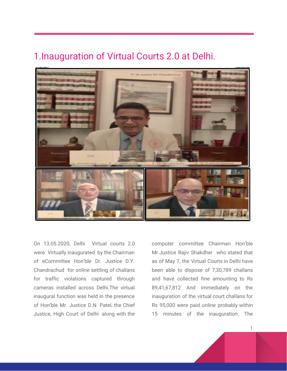#### 1.Inauguration of Virtual Courts 2.0 at Delhi.



On 13.05.2020, Delhi Virtual courts 2.0 were Virtually inaugurated by the Chairman of eCommittee Hon'ble Dr. Justice D.Y. Chandrachud for online settling of challans for traffic violations captured through cameras installed across Delhi.The virtual inaugural function was held in the presence of Hon'ble Mr. Justice D.N. Patel, the Chief Justice, High Court of Delhi along with the

computer committee Chairman Hon'ble Mr.Justice Rajiv Shakdher who stated that as of May 7, the Virtual Courts in Delhi have been able to dispose of 7,30,789 challans and have collected fine amounting to Rs 89,41,67,812 And immediately on the inauguration of the virtual court challans for Rs 95,000 were paid online probably within 15 minutes of the inauguration. The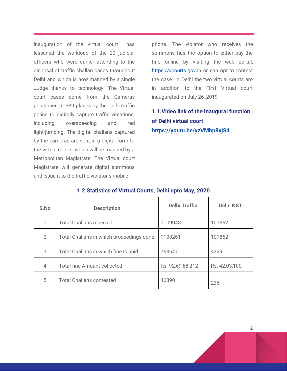inauguration of the virtual court has lessened the workload of the 20 judicial officers who were earlier attending to the disposal of traffic challan cases throughout Delhi and which is now manned by a single Judge thanks to technology. The Virtual court cases come from the Cameras positioned at 389 places by the Delhi traffic police to digitally capture traffic violations, including overspeeding and red light-jumping. The digital challans captured by the cameras are sent in a digital form to the virtual courts, which will be manned by a Metropolitan Magistrate. The Virtual court Magistrate will generate digital summons and issue it to the traffic violator's mobile

phone. The violator who receives the summons has the option to either pay the fine online by visiting the web portal, [https://vcourts.gov.in](https://vcourts.gov.in/) or can opt to contest the case. In Delhi the two virtual courts are in addition to the First Virtual court inaugurated on July 26 ,2019

#### **1.1.Video link of the inaugural function of Delhi virtual court <https://youtu.be/yzVMbp8xjS4>**

| S.No | <b>Description</b>                       | <b>Delhi Traffic</b> | <b>Delhi NBT</b> |
|------|------------------------------------------|----------------------|------------------|
| 1    | <b>Total Challans received</b>           | 1109043              | 101862           |
| 2    | Total Challans in which proceedings done | 1108261              | 101862           |
| 3    | Total Challans in which fine is paid     | 763647               | 4229             |
| 4    | <b>Total fine Amount collected</b>       | Rs. 92,69,88,212     | Rs. 42,03,100    |
| 5    | <b>Total Challans contested</b>          | 46390                | 236              |

#### **1.2.Statistics of Virtual Courts, Delhi upto May, 2020**

 $\overline{2}$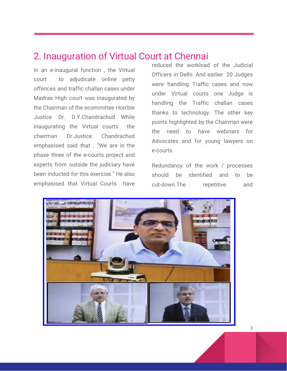#### 2. Inauguration of Virtual Court at Chennai

In an e-inaugural function , the Virtual court to adjudicate online petty offences and traffic challan cases under Madras High court was inaugurated by the Chairman of the ecommittee Hon'ble Justice Dr. D.Y.Chandrachud While inaugurating the Virtual courts the chairman Dr.Justice Chandrachud emphasised said that , "We are in the phase three of the e-courts project and experts from outside the judiciary have been inducted for this exercise." He also emphasised that Virtual Courts have

reduced the workload of the Judicial Officers in Delhi. And earlier 20 Judges were handling Traffic cases and now under Virtual courts one Judge is handling the Traffic challan cases thanks to technology. The other key points highlighted by the Chairman were the need to have webinars for Advocates and for young lawyers on e-courts.

Redundancy of the work / processes should be identified and to be cut-down.The repetitive and

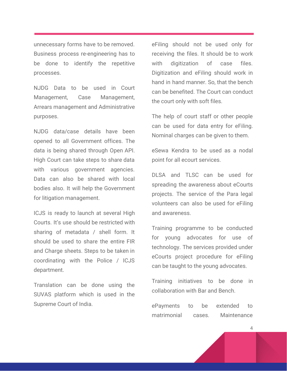unnecessary forms have to be removed. Business process re-engineering has to be done to identify the repetitive processes.

NJDG Data to be used in Court Management, Case Management, Arrears management and Administrative purposes.

NJDG data/case details have been opened to all Government offices. The data is being shared through Open API. High Court can take steps to share data with various government agencies. Data can also be shared with local bodies also. It will help the Government for litigation management.

ICJS is ready to launch at several High Courts. It's use should be restricted with sharing of metadata / shell form. It should be used to share the entire FIR and Charge sheets. Steps to be taken in coordinating with the Police / ICJS department.

Translation can be done using the SUVAS platform which is used in the Supreme Court of India.

eFiling should not be used only for receiving the files. It should be to work with digitization of case files. Digitization and eFiling should work in hand in hand manner. So, that the bench can be benefited. The Court can conduct the court only with soft files.

The help of court staff or other people can be used for data entry for eFiling. Nominal charges can be given to them.

eSewa Kendra to be used as a nodal point for all ecourt services.

DLSA and TLSC can be used for spreading the awareness about eCourts projects. The service of the Para legal volunteers can also be used for eFiling and awareness.

Training programme to be conducted for young advocates for use of technology. The services provided under eCourts project procedure for eFiling can be taught to the young advocates.

Training initiatives to be done in collaboration with Bar and Bench.

ePayments to be extended to matrimonial cases. Maintenance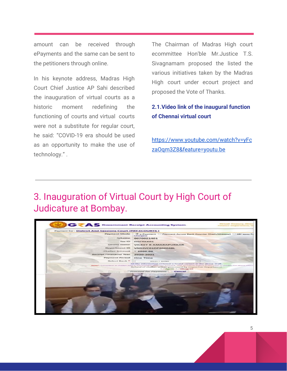amount can be received through ePayments and the same can be sent to the petitioners through online.

In his keynote address, Madras High Court Chief Justice AP Sahi described the inauguration of virtual courts as a historic moment redefining the functioning of courts and virtual courts were not a substitute for regular court, he said: "COVID-19 era should be used as an opportunity to make the use of technology." .

The Chairman of Madras High court ecommittee Hon'ble Mr.Justice T.S. Sivagnamam proposed the listed the various initiatives taken by the Madras High court under ecourt project and proposed the Vote of Thanks.

#### **2.1.Video link of the inaugural function of Chennai virtual court**

[https://www.youtube.com/watch?v=yFc](https://www.youtube.com/watch?v=yFczaOqm3Z8&feature=youtu.be) [zaOqm3Z8&feature=youtu.be](https://www.youtube.com/watch?v=yFczaOqm3Z8&feature=youtu.be)

## 3. Inauguration of Virtual Court by High Court of Judicature at Bombay.

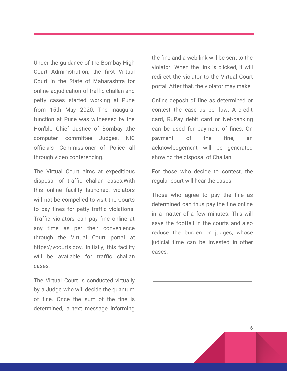Under the guidance of the Bombay High Court Administration, the first Virtual Court in the State of Maharashtra for online adjudication of traffic challan and petty cases started working at Pune from 15th May 2020. The inaugural function at Pune was witnessed by the Hon'ble Chief Justice of Bombay ,the computer committee Judges, NIC officials ,Commissioner of Police all through video conferencing.

The Virtual Court aims at expeditious disposal of traffic challan cases.With this online facility launched, violators will not be compelled to visit the Courts to pay fines for petty traffic violations. Traffic violators can pay fine online at any time as per their convenience through the Virtual Court portal at https://vcourts.gov. Initially, this facility will be available for traffic challan cases.

The Virtual Court is conducted virtually by a Judge who will decide the quantum of fine. Once the sum of the fine is determined, a text message informing

the fine and a web link will be sent to the violator. When the link is clicked, it will redirect the violator to the Virtual Court portal. After that, the violator may make

Online deposit of fine as determined or contest the case as per law. A credit card, RuPay debit card or Net-banking can be used for payment of fines. On payment of the fine, an acknowledgement will be generated showing the disposal of Challan.

For those who decide to contest, the regular court will hear the cases.

Those who agree to pay the fine as determined can thus pay the fine online in a matter of a few minutes. This will save the footfall in the courts and also reduce the burden on judges, whose judicial time can be invested in other cases.

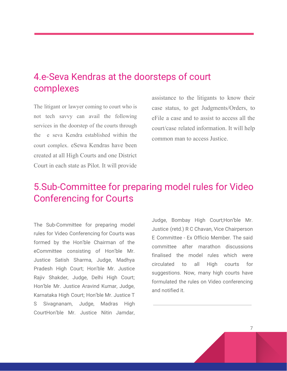## 4.e-Seva Kendras at the doorsteps of court complexes

The litigant or lawyer coming to court who is not tech savvy can avail the following services in the doorstep of the courts through the e seva Kendra established within the court complex. eSewa Kendras have been created at all High Courts and one District Court in each state as Pilot. It will provide

assistance to the litigants to know their case status, to get Judgments/Orders, to eFile a case and to assist to access all the court/case related information. It will help common man to access Justice.

## 5.Sub-Committee for preparing model rules for Video Conferencing for Courts

The Sub-Committee for preparing model rules for Video Conferencing for Courts was formed by the Hon'ble Chairman of the eCommittee consisting of Hon'ble Mr. Justice Satish Sharma, Judge, Madhya Pradesh High Court; Hon'ble Mr. Justice Rajiv Shakder, Judge, Delhi High Court; Hon'ble Mr. Justice Aravind Kumar, Judge, Karnataka High Court; Hon'ble Mr. Justice T S Sivagnanam, Judge, Madras High CourtHon'ble Mr. Justice Nitin Jamdar,

Judge, Bombay High Court;Hon'ble Mr. Justice (retd.) R C Chavan, Vice Chairperson E Committee - Ex Officio Member. The said committee after marathon discussions finalised the model rules which were circulated to all High courts for suggestions. Now, many high courts have formulated the rules on Video conferencing and notified it.

7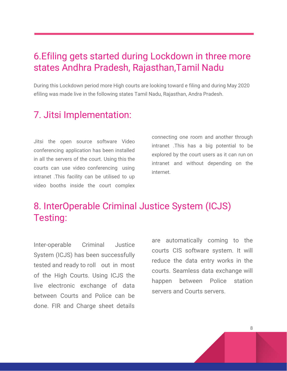## 6.Efiling gets started during Lockdown in three more states Andhra Pradesh, Rajasthan,Tamil Nadu

During this Lockdown period more High courts are looking toward e filing and during May 2020 efiling was made live in the following states Tamil Nadu, Rajasthan, Andra Pradesh.

## 7. Jitsi Implementation:

Jitsi the open source software Video conferencing application has been installed in all the servers of the court. Using this the courts can use video conferencing using intranet .This facility can be utilised to up video booths inside the court complex connecting one room and another through intranet .This has a big potential to be explored by the court users as it can run on intranet and without depending on the internet.

## 8. InterOperable Criminal Justice System (ICJS) Testing:

Inter-operable Criminal Justice System (ICJS) has been successfully tested and ready to roll out in most of the High Courts. Using ICJS the live electronic exchange of data between Courts and Police can be done. FIR and Charge sheet details

are automatically coming to the courts CIS software system. It will reduce the data entry works in the courts. Seamless data exchange will happen between Police station servers and Courts servers.

8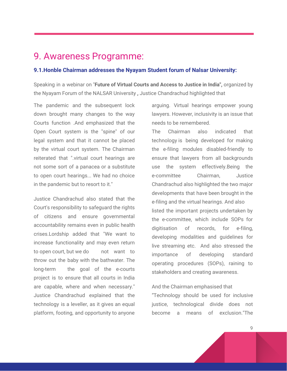#### 9. Awareness Programme:

#### **9.1.Honble Chairman addresses the Nyayam Student forum of Nalsar University:**

Speaking in a webinar on "**Future of Virtual Courts and Access to Justice in India",** organized by the Nyayam Forum of the NALSAR University **,** Justice Chandrachud highlighted that

The pandemic and the subsequent lock down brought many changes to the way Courts function .And emphasized that the Open Court system is the "spine" of our legal system and that it cannot be placed by the virtual court system. The Chairman reiterated that ".virtual court hearings are not some sort of a panacea or a substitute to open court hearings... We had no choice in the pandemic but to resort to it."

Justice Chandrachud also stated that the Court's responsibility to safeguard the rights of citizens and ensure governmental accountability remains even in public health crises.Lordship added that "We want to increase functionality and may even return to open court, but we do not want to throw out the baby with the bathwater. The long-term the goal of the e-courts project is to ensure that all courts in India are capable, where and when necessary." Justice Chandrachud explained that the technology is a leveller, as it gives an equal platform, footing, and opportunity to anyone

arguing. Virtual hearings empower young lawyers. However, inclusivity is an issue that needs to be remembered.

The Chairman also indicated that technology is being developed for making the e-filing modules disabled-friendly to ensure that lawyers from all backgrounds use the system effectively.Being the e-committee Chairman, Justice Chandrachud also highlighted the two major developments that have been brought in the e-filing and the virtual hearings. And also listed the important projects undertaken by the e-committee, which include SOPs for digitisation of records, for e-filing, developing modalities and guidelines for live streaming etc. And also stressed the importance of developing standard operating procedures (SOPs), raining to stakeholders and creating awareness.

#### And the Chairman emphasised that

"Technology should be used for inclusive justice, technological divide does not become a means of exclusion."The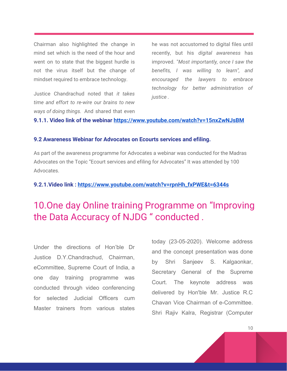Chairman also highlighted the change in mind set which is the need of the hour and went on to state that the biggest hurdle is not the virus itself but the change of mindset required to embrace technology.

Justice Chandrachud noted that *it takes time and effort to re-wire our brains to new ways of doing things.* And shared that even

he was not accustomed to digital files until recently, but his *digital awareness* has improved. "*Most importantly, once I saw the benefits, I was willing to learn", and encouraged the lawyers to embrace technology for better administration of justice .*

#### **9.1.1. Video link of the webinar <https://www.youtube.com/watch?v=15nxZwNJsBM>**

#### **9.2 Awareness Webinar for Advocates on Ecourts services and efiling.**

As part of the awareness programme for Advocates a webinar was conducted for the Madras Advocates on the Topic "Ecourt services and efiling for Advocates" It was attended by 100 Advocates.

#### **9.2.1.Video link : [https://www.youtube.com/watch?v=rpnHh\\_fxPWE&t=6344s](https://www.youtube.com/watch?v=rpnHh_fxPWE&t=6344s)**

## 10.One day Online training Programme on "Improving the Data Accuracy of NJDG " conducted .

Under the directions of Hon'ble Dr Justice D.Y.Chandrachud, Chairman, eCommittee, Supreme Court of India, a one day training programme was conducted through video conferencing for selected Judicial Officers cum Master trainers from various states today (23-05-2020). Welcome address and the concept presentation was done by Shri Sanjeev S. Kalgaonkar, Secretary General of the Supreme Court. The keynote address was delivered by Hon'ble Mr. Justice R.C Chavan Vice Chairman of e-Committee. Shri Rajiv Kalra, Registrar (Computer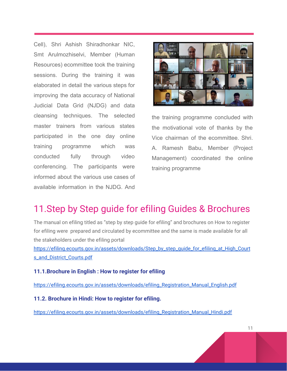Cell), Shri Ashish Shiradhonkar NIC, Smt Arulmozhiselvi, Member (Human Resources) ecommittee took the training sessions. During the training it was elaborated in detail the various steps for improving the data accuracy of National Judicial Data Grid (NJDG) and data cleansing techniques. The selected master trainers from various states participated in the one day online training programme which was conducted fully through video conferencing. The participants were informed about the various use cases of available information in the NJDG. And



the training programme concluded with the motivational vote of thanks by the Vice chairman of the ecommittee. Shri. A. Ramesh Babu, Member (Project Management) coordinated the online training programme

## 11.Step by Step guide for efiling Guides & Brochures

The manual on efiling titled as "step by step guide for efiling" and brochures on How to register for efiling were prepared and circulated by ecommittee and the same is made available for all the stakeholders under the efiling portal

[https://efiling.ecourts.gov.in/assets/downloads/Step\\_by\\_step\\_guide\\_for\\_efiling\\_at\\_High\\_Court](https://efiling.ecourts.gov.in/assets/downloads/Step_by_step_guide_for_efiling_at_High_Courts_and_District_Courts.pdf) [s\\_and\\_District\\_Courts.pdf](https://efiling.ecourts.gov.in/assets/downloads/Step_by_step_guide_for_efiling_at_High_Courts_and_District_Courts.pdf)

#### **11.1.Brochure in English : How to register for efiling**

[https://efiling.ecourts.gov.in/assets/downloads/efiling\\_Registration\\_Manual\\_English.pdf](https://efiling.ecourts.gov.in/assets/downloads/efiling_Registration_Manual_English.pdf)

**11.2. Brochure in Hindi: How to register for efiling.**

[https://efiling.ecourts.gov.in/assets/downloads/efiling\\_Registration\\_Manual\\_Hindi.pdf](https://efiling.ecourts.gov.in/assets/downloads/efiling_Registration_Manual_Hindi.pdf)